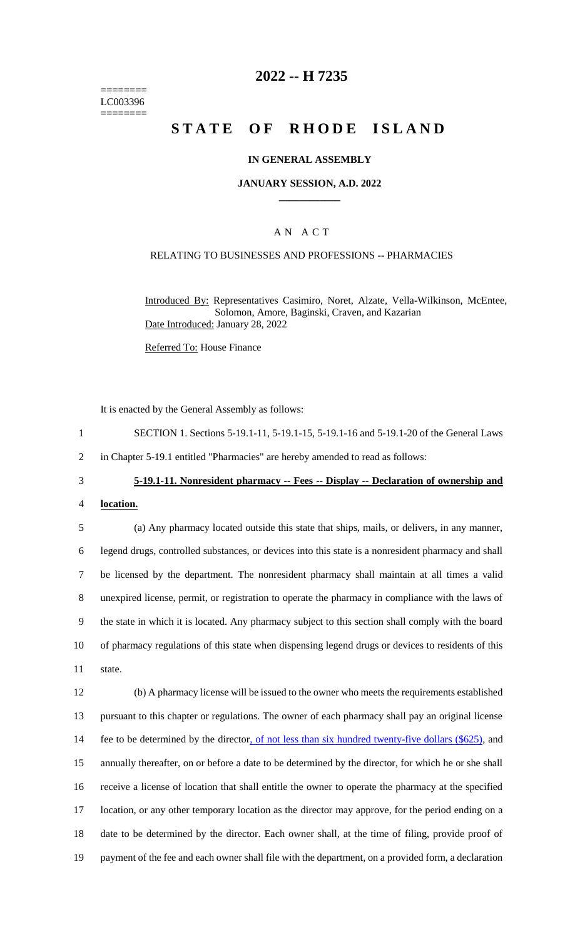======== LC003396 ========

# **2022 -- H 7235**

# **STATE OF RHODE ISLAND**

### **IN GENERAL ASSEMBLY**

#### **JANUARY SESSION, A.D. 2022 \_\_\_\_\_\_\_\_\_\_\_\_**

## A N A C T

# RELATING TO BUSINESSES AND PROFESSIONS -- PHARMACIES

Introduced By: Representatives Casimiro, Noret, Alzate, Vella-Wilkinson, McEntee, Solomon, Amore, Baginski, Craven, and Kazarian Date Introduced: January 28, 2022

Referred To: House Finance

It is enacted by the General Assembly as follows:

| SECTION 1. Sections 5-19.1-11, 5-19.1-15, 5-19.1-16 and 5-19.1-20 of the General Laws |
|---------------------------------------------------------------------------------------|
| in Chapter 5-19.1 entitled "Pharmacies" are hereby amended to read as follows:        |

# 3 **5-19.1-11. Nonresident pharmacy -- Fees -- Display -- Declaration of ownership and**

4 **location.**

 (a) Any pharmacy located outside this state that ships, mails, or delivers, in any manner, legend drugs, controlled substances, or devices into this state is a nonresident pharmacy and shall be licensed by the department. The nonresident pharmacy shall maintain at all times a valid unexpired license, permit, or registration to operate the pharmacy in compliance with the laws of the state in which it is located. Any pharmacy subject to this section shall comply with the board of pharmacy regulations of this state when dispensing legend drugs or devices to residents of this 11 state.

 (b) A pharmacy license will be issued to the owner who meets the requirements established pursuant to this chapter or regulations. The owner of each pharmacy shall pay an original license 14 fee to be determined by the director, of not less than six hundred twenty-five dollars (\$625), and annually thereafter, on or before a date to be determined by the director, for which he or she shall receive a license of location that shall entitle the owner to operate the pharmacy at the specified location, or any other temporary location as the director may approve, for the period ending on a date to be determined by the director. Each owner shall, at the time of filing, provide proof of 19 payment of the fee and each owner shall file with the department, on a provided form, a declaration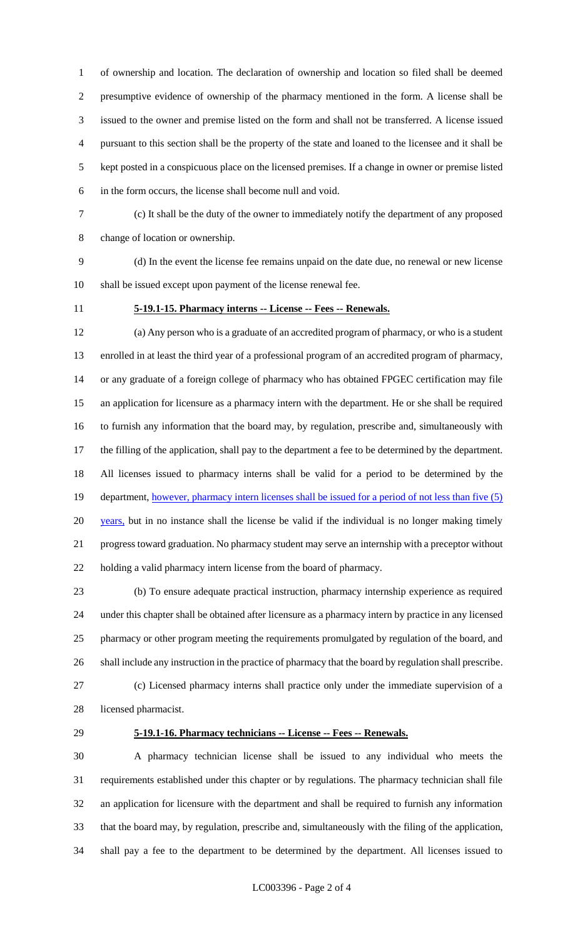of ownership and location. The declaration of ownership and location so filed shall be deemed presumptive evidence of ownership of the pharmacy mentioned in the form. A license shall be issued to the owner and premise listed on the form and shall not be transferred. A license issued pursuant to this section shall be the property of the state and loaned to the licensee and it shall be kept posted in a conspicuous place on the licensed premises. If a change in owner or premise listed in the form occurs, the license shall become null and void.

 (c) It shall be the duty of the owner to immediately notify the department of any proposed change of location or ownership.

 (d) In the event the license fee remains unpaid on the date due, no renewal or new license shall be issued except upon payment of the license renewal fee.

## **5-19.1-15. Pharmacy interns -- License -- Fees -- Renewals.**

 (a) Any person who is a graduate of an accredited program of pharmacy, or who is a student enrolled in at least the third year of a professional program of an accredited program of pharmacy, or any graduate of a foreign college of pharmacy who has obtained FPGEC certification may file an application for licensure as a pharmacy intern with the department. He or she shall be required to furnish any information that the board may, by regulation, prescribe and, simultaneously with the filling of the application, shall pay to the department a fee to be determined by the department. All licenses issued to pharmacy interns shall be valid for a period to be determined by the 19 department, however, pharmacy intern licenses shall be issued for a period of not less than five (5) 20 years, but in no instance shall the license be valid if the individual is no longer making timely progress toward graduation. No pharmacy student may serve an internship with a preceptor without holding a valid pharmacy intern license from the board of pharmacy.

 (b) To ensure adequate practical instruction, pharmacy internship experience as required under this chapter shall be obtained after licensure as a pharmacy intern by practice in any licensed pharmacy or other program meeting the requirements promulgated by regulation of the board, and shall include any instruction in the practice of pharmacy that the board by regulation shall prescribe. (c) Licensed pharmacy interns shall practice only under the immediate supervision of a

licensed pharmacist.

#### **5-19.1-16. Pharmacy technicians -- License -- Fees -- Renewals.**

 A pharmacy technician license shall be issued to any individual who meets the requirements established under this chapter or by regulations. The pharmacy technician shall file an application for licensure with the department and shall be required to furnish any information that the board may, by regulation, prescribe and, simultaneously with the filing of the application, shall pay a fee to the department to be determined by the department. All licenses issued to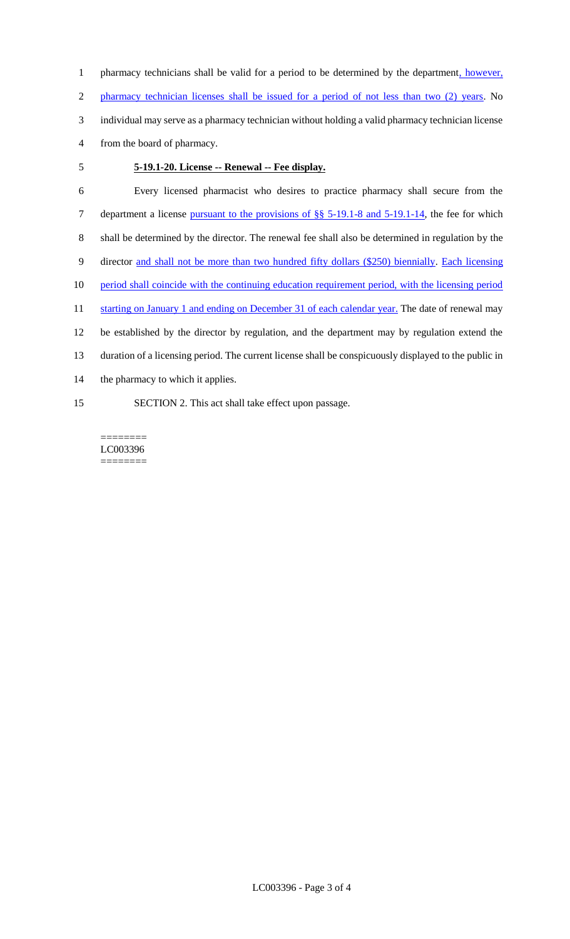1 pharmacy technicians shall be valid for a period to be determined by the department, however, 2 pharmacy technician licenses shall be issued for a period of not less than two (2) years. No 3 individual may serve as a pharmacy technician without holding a valid pharmacy technician license 4 from the board of pharmacy.

# 5 **5-19.1-20. License -- Renewal -- Fee display.**

6 Every licensed pharmacist who desires to practice pharmacy shall secure from the 7 department a license pursuant to the provisions of §§ 5-19.1-8 and 5-19.1-14, the fee for which 8 shall be determined by the director. The renewal fee shall also be determined in regulation by the 9 director and shall not be more than two hundred fifty dollars (\$250) biennially. Each licensing 10 period shall coincide with the continuing education requirement period, with the licensing period 11 starting on January 1 and ending on December 31 of each calendar year. The date of renewal may 12 be established by the director by regulation, and the department may by regulation extend the 13 duration of a licensing period. The current license shall be conspicuously displayed to the public in 14 the pharmacy to which it applies. 15 SECTION 2. This act shall take effect upon passage.

======== LC003396 ========